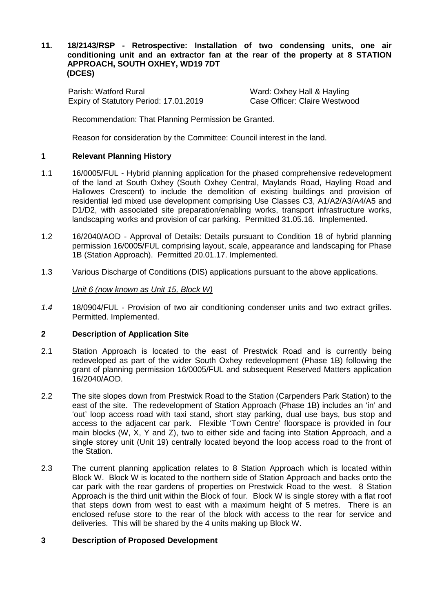#### **11. 18/2143/RSP - Retrospective: Installation of two condensing units, one air conditioning unit and an extractor fan at the rear of the property at 8 STATION APPROACH, SOUTH OXHEY, WD19 7DT (DCES)**

Parish: Watford Rural Ward: Oxhey Hall & Hayling Expiry of Statutory Period: 17.01.2019

Recommendation: That Planning Permission be Granted.

Reason for consideration by the Committee: Council interest in the land.

## **1 Relevant Planning History**

- 1.1 16/0005/FUL Hybrid planning application for the phased comprehensive redevelopment of the land at South Oxhey (South Oxhey Central, Maylands Road, Hayling Road and Hallowes Crescent) to include the demolition of existing buildings and provision of residential led mixed use development comprising Use Classes C3, A1/A2/A3/A4/A5 and D1/D2, with associated site preparation/enabling works, transport infrastructure works, landscaping works and provision of car parking. Permitted 31.05.16. Implemented.
- 1.2 16/2040/AOD Approval of Details: Details pursuant to Condition 18 of hybrid planning permission 16/0005/FUL comprising layout, scale, appearance and landscaping for Phase 1B (Station Approach). Permitted 20.01.17. Implemented.
- 1.3 Various Discharge of Conditions (DIS) applications pursuant to the above applications.

#### *Unit 6 (now known as Unit 15, Block W)*

*1.4* 18/0904/FUL - Provision of two air conditioning condenser units and two extract grilles. Permitted. Implemented.

## **2 Description of Application Site**

- 2.1 Station Approach is located to the east of Prestwick Road and is currently being redeveloped as part of the wider South Oxhey redevelopment (Phase 1B) following the grant of planning permission 16/0005/FUL and subsequent Reserved Matters application 16/2040/AOD.
- 2.2 The site slopes down from Prestwick Road to the Station (Carpenders Park Station) to the east of the site. The redevelopment of Station Approach (Phase 1B) includes an 'in' and 'out' loop access road with taxi stand, short stay parking, dual use bays, bus stop and access to the adjacent car park. Flexible 'Town Centre' floorspace is provided in four main blocks (W, X, Y and Z), two to either side and facing into Station Approach, and a single storey unit (Unit 19) centrally located beyond the loop access road to the front of the Station.
- 2.3 The current planning application relates to 8 Station Approach which is located within Block W. Block W is located to the northern side of Station Approach and backs onto the car park with the rear gardens of properties on Prestwick Road to the west. 8 Station Approach is the third unit within the Block of four. Block W is single storey with a flat roof that steps down from west to east with a maximum height of 5 metres. There is an enclosed refuse store to the rear of the block with access to the rear for service and deliveries. This will be shared by the 4 units making up Block W.

### **3 Description of Proposed Development**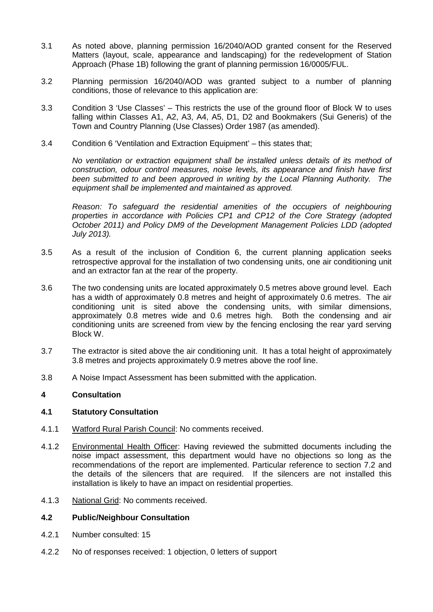- 3.1 As noted above, planning permission 16/2040/AOD granted consent for the Reserved Matters (layout, scale, appearance and landscaping) for the redevelopment of Station Approach (Phase 1B) following the grant of planning permission 16/0005/FUL.
- 3.2 Planning permission 16/2040/AOD was granted subject to a number of planning conditions, those of relevance to this application are:
- 3.3 Condition 3 'Use Classes' This restricts the use of the ground floor of Block W to uses falling within Classes A1, A2, A3, A4, A5, D1, D2 and Bookmakers (Sui Generis) of the Town and Country Planning (Use Classes) Order 1987 (as amended).
- 3.4 Condition 6 'Ventilation and Extraction Equipment' this states that;

*No ventilation or extraction equipment shall be installed unless details of its method of construction, odour control measures, noise levels, its appearance and finish have first been submitted to and been approved in writing by the Local Planning Authority. The equipment shall be implemented and maintained as approved.* 

*Reason: To safeguard the residential amenities of the occupiers of neighbouring properties in accordance with Policies CP1 and CP12 of the Core Strategy (adopted October 2011) and Policy DM9 of the Development Management Policies LDD (adopted July 2013).*

- 3.5 As a result of the inclusion of Condition 6, the current planning application seeks retrospective approval for the installation of two condensing units, one air conditioning unit and an extractor fan at the rear of the property.
- 3.6 The two condensing units are located approximately 0.5 metres above ground level. Each has a width of approximately 0.8 metres and height of approximately 0.6 metres. The air conditioning unit is sited above the condensing units, with similar dimensions, approximately 0.8 metres wide and 0.6 metres high. Both the condensing and air conditioning units are screened from view by the fencing enclosing the rear yard serving Block W.
- 3.7 The extractor is sited above the air conditioning unit. It has a total height of approximately 3.8 metres and projects approximately 0.9 metres above the roof line.
- 3.8 A Noise Impact Assessment has been submitted with the application.

## **4 Consultation**

#### **4.1 Statutory Consultation**

- 4.1.1 Watford Rural Parish Council: No comments received.
- 4.1.2 Environmental Health Officer: Having reviewed the submitted documents including the noise impact assessment, this department would have no objections so long as the recommendations of the report are implemented. Particular reference to section 7.2 and the details of the silencers that are required. If the silencers are not installed this installation is likely to have an impact on residential properties.
- 4.1.3 National Grid: No comments received.

#### **4.2 Public/Neighbour Consultation**

- 4.2.1 Number consulted: 15
- 4.2.2 No of responses received: 1 objection, 0 letters of support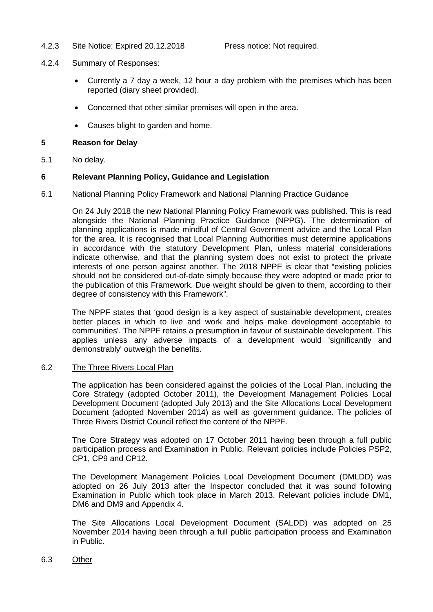4.2.3 Site Notice: Expired 20.12.2018 Press notice: Not required.

- 4.2.4 Summary of Responses:
	- Currently a 7 day a week, 12 hour a day problem with the premises which has been reported (diary sheet provided).
	- Concerned that other similar premises will open in the area.
	- Causes blight to garden and home.

## **5 Reason for Delay**

5.1 No delay.

# **6 Relevant Planning Policy, Guidance and Legislation**

## 6.1 National Planning Policy Framework and National Planning Practice Guidance

On 24 July 2018 the new National Planning Policy Framework was published. This is read alongside the National Planning Practice Guidance (NPPG). The determination of planning applications is made mindful of Central Government advice and the Local Plan for the area. It is recognised that Local Planning Authorities must determine applications in accordance with the statutory Development Plan, unless material considerations indicate otherwise, and that the planning system does not exist to protect the private interests of one person against another. The 2018 NPPF is clear that "existing policies should not be considered out-of-date simply because they were adopted or made prior to the publication of this Framework. Due weight should be given to them, according to their degree of consistency with this Framework".

The NPPF states that 'good design is a key aspect of sustainable development, creates better places in which to live and work and helps make development acceptable to communities'. The NPPF retains a presumption in favour of sustainable development. This applies unless any adverse impacts of a development would 'significantly and demonstrably' outweigh the benefits.

## 6.2 The Three Rivers Local Plan

The application has been considered against the policies of the Local Plan, including the Core Strategy (adopted October 2011), the Development Management Policies Local Development Document (adopted July 2013) and the Site Allocations Local Development Document (adopted November 2014) as well as government guidance. The policies of Three Rivers District Council reflect the content of the NPPF.

The Core Strategy was adopted on 17 October 2011 having been through a full public participation process and Examination in Public. Relevant policies include Policies PSP2, CP1, CP9 and CP12.

The Development Management Policies Local Development Document (DMLDD) was adopted on 26 July 2013 after the Inspector concluded that it was sound following Examination in Public which took place in March 2013. Relevant policies include DM1, DM6 and DM9 and Appendix 4.

The Site Allocations Local Development Document (SALDD) was adopted on 25 November 2014 having been through a full public participation process and Examination in Public.

#### 6.3 Other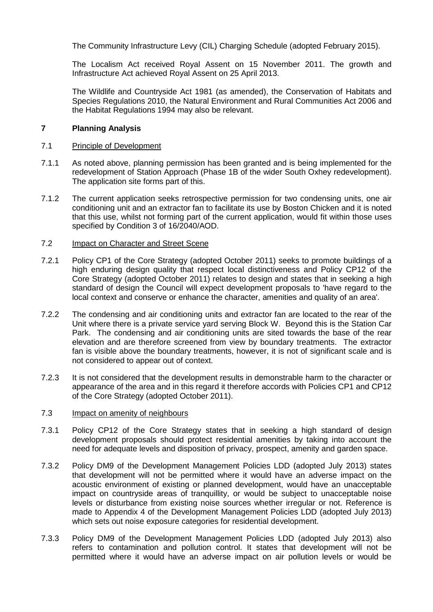The Community Infrastructure Levy (CIL) Charging Schedule (adopted February 2015).

The Localism Act received Royal Assent on 15 November 2011. The growth and Infrastructure Act achieved Royal Assent on 25 April 2013.

The Wildlife and Countryside Act 1981 (as amended), the Conservation of Habitats and Species Regulations 2010, the Natural Environment and Rural Communities Act 2006 and the Habitat Regulations 1994 may also be relevant.

## **7 Planning Analysis**

## 7.1 Principle of Development

- 7.1.1 As noted above, planning permission has been granted and is being implemented for the redevelopment of Station Approach (Phase 1B of the wider South Oxhey redevelopment). The application site forms part of this.
- 7.1.2 The current application seeks retrospective permission for two condensing units, one air conditioning unit and an extractor fan to facilitate its use by Boston Chicken and it is noted that this use, whilst not forming part of the current application, would fit within those uses specified by Condition 3 of 16/2040/AOD.

## 7.2 Impact on Character and Street Scene

- 7.2.1 Policy CP1 of the Core Strategy (adopted October 2011) seeks to promote buildings of a high enduring design quality that respect local distinctiveness and Policy CP12 of the Core Strategy (adopted October 2011) relates to design and states that in seeking a high standard of design the Council will expect development proposals to 'have regard to the local context and conserve or enhance the character, amenities and quality of an area'.
- 7.2.2 The condensing and air conditioning units and extractor fan are located to the rear of the Unit where there is a private service yard serving Block W. Beyond this is the Station Car Park. The condensing and air conditioning units are sited towards the base of the rear elevation and are therefore screened from view by boundary treatments. The extractor fan is visible above the boundary treatments, however, it is not of significant scale and is not considered to appear out of context.
- 7.2.3 It is not considered that the development results in demonstrable harm to the character or appearance of the area and in this regard it therefore accords with Policies CP1 and CP12 of the Core Strategy (adopted October 2011).

#### 7.3 Impact on amenity of neighbours

- 7.3.1 Policy CP12 of the Core Strategy states that in seeking a high standard of design development proposals should protect residential amenities by taking into account the need for adequate levels and disposition of privacy, prospect, amenity and garden space.
- 7.3.2 Policy DM9 of the Development Management Policies LDD (adopted July 2013) states that development will not be permitted where it would have an adverse impact on the acoustic environment of existing or planned development, would have an unacceptable impact on countryside areas of tranquillity, or would be subject to unacceptable noise levels or disturbance from existing noise sources whether irregular or not. Reference is made to Appendix 4 of the Development Management Policies LDD (adopted July 2013) which sets out noise exposure categories for residential development.
- 7.3.3 Policy DM9 of the Development Management Policies LDD (adopted July 2013) also refers to contamination and pollution control. It states that development will not be permitted where it would have an adverse impact on air pollution levels or would be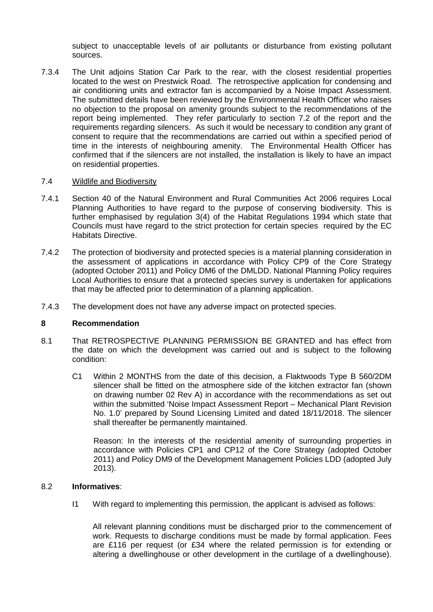subject to unacceptable levels of air pollutants or disturbance from existing pollutant sources.

7.3.4 The Unit adjoins Station Car Park to the rear, with the closest residential properties located to the west on Prestwick Road. The retrospective application for condensing and air conditioning units and extractor fan is accompanied by a Noise Impact Assessment. The submitted details have been reviewed by the Environmental Health Officer who raises no objection to the proposal on amenity grounds subject to the recommendations of the report being implemented. They refer particularly to section 7.2 of the report and the requirements regarding silencers. As such it would be necessary to condition any grant of consent to require that the recommendations are carried out within a specified period of time in the interests of neighbouring amenity. The Environmental Health Officer has confirmed that if the silencers are not installed, the installation is likely to have an impact on residential properties.

#### 7.4 Wildlife and Biodiversity

- 7.4.1 Section 40 of the Natural Environment and Rural Communities Act 2006 requires Local Planning Authorities to have regard to the purpose of conserving biodiversity. This is further emphasised by regulation 3(4) of the Habitat Regulations 1994 which state that Councils must have regard to the strict protection for certain species required by the EC Habitats Directive.
- 7.4.2 The protection of biodiversity and protected species is a material planning consideration in the assessment of applications in accordance with Policy CP9 of the Core Strategy (adopted October 2011) and Policy DM6 of the DMLDD. National Planning Policy requires Local Authorities to ensure that a protected species survey is undertaken for applications that may be affected prior to determination of a planning application.
- 7.4.3 The development does not have any adverse impact on protected species.

#### **8 Recommendation**

- 8.1 That RETROSPECTIVE PLANNING PERMISSION BE GRANTED and has effect from the date on which the development was carried out and is subject to the following condition:
	- C1 Within 2 MONTHS from the date of this decision, a Flaktwoods Type B 560/2DM silencer shall be fitted on the atmosphere side of the kitchen extractor fan (shown on drawing number 02 Rev A) in accordance with the recommendations as set out within the submitted 'Noise Impact Assessment Report – Mechanical Plant Revision No. 1.0' prepared by Sound Licensing Limited and dated 18/11/2018. The silencer shall thereafter be permanently maintained.

Reason: In the interests of the residential amenity of surrounding properties in accordance with Policies CP1 and CP12 of the Core Strategy (adopted October 2011) and Policy DM9 of the Development Management Policies LDD (adopted July 2013).

#### 8.2 **Informatives**:

I1 With regard to implementing this permission, the applicant is advised as follows:

All relevant planning conditions must be discharged prior to the commencement of work. Requests to discharge conditions must be made by formal application. Fees are £116 per request (or £34 where the related permission is for extending or altering a dwellinghouse or other development in the curtilage of a dwellinghouse).